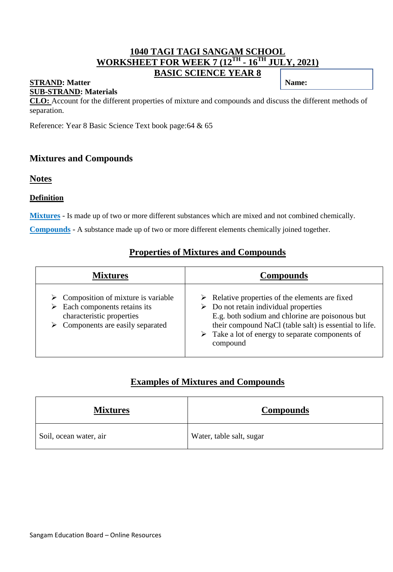## **1040 TAGI TAGI SANGAM SCHOOL WORKSHEET FOR WEEK 7 (12TH - 16TH JULY, 2021) BASIC SCIENCE YEAR 8**

#### **STRAND:** Matter **Name: Name: Name: Name: Name: Name: Name: Name: Name: Name: Name: Name: Name: Name: Name: Name: Name: Name: Name: Name: Name: Name: Name: Name: Name: Name SUB-STRAND: Materials**

**CLO:** Account for the different properties of mixture and compounds and discuss the different methods of separation.

Reference: Year 8 Basic Science Text book page:64 & 65

### **Mixtures and Compounds**

#### **Notes**

#### **Definition**

**Mixtures** - Is made up of two or more different substances which are mixed and not combined chemically.

**Compounds** - A substance made up of two or more different elements chemically joined together.

## **Properties of Mixtures and Compounds**

| <b>Mixtures</b>                                                                                                                                                                      | <b>Compounds</b>                                                                                                                                                                                                                                                                                                   |
|--------------------------------------------------------------------------------------------------------------------------------------------------------------------------------------|--------------------------------------------------------------------------------------------------------------------------------------------------------------------------------------------------------------------------------------------------------------------------------------------------------------------|
| $\triangleright$ Composition of mixture is variable<br>$\triangleright$ Each components retains its<br>characteristic properties<br>$\triangleright$ Components are easily separated | $\triangleright$ Relative properties of the elements are fixed<br>$\triangleright$ Do not retain individual properties<br>E.g. both sodium and chlorine are poisonous but<br>their compound NaCl (table salt) is essential to life.<br>$\triangleright$ Take a lot of energy to separate components of<br>compound |

## **Examples of Mixtures and Compounds**

| <b>Mixtures</b>        | <b>Compounds</b>         |
|------------------------|--------------------------|
| Soil, ocean water, air | Water, table salt, sugar |